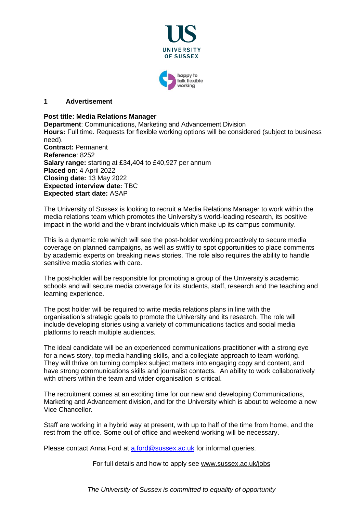

#### **1 Advertisement**

### **Post title: Media Relations Manager**

**Department**: Communications, Marketing and Advancement Division **Hours:** Full time. Requests for flexible working options will be considered (subject to business need). **Contract:** Permanent

**Reference**: 8252 **Salary range:** starting at £34,404 to £40,927 per annum **Placed on:** 4 April 2022 **Closing date:** 13 May 2022 **Expected interview date:** TBC **Expected start date:** ASAP

The University of Sussex is looking to recruit a Media Relations Manager to work within the media relations team which promotes the University's world-leading research, its positive impact in the world and the vibrant individuals which make up its campus community.

This is a dynamic role which will see the post-holder working proactively to secure media coverage on planned campaigns, as well as swiftly to spot opportunities to place comments by academic experts on breaking news stories. The role also requires the ability to handle sensitive media stories with care.

The post-holder will be responsible for promoting a group of the University's academic schools and will secure media coverage for its students, staff, research and the teaching and learning experience.

The post holder will be required to write media relations plans in line with the organisation's strategic goals to promote the University and its research. The role will include developing stories using a variety of communications tactics and social media platforms to reach multiple audiences.

The ideal candidate will be an experienced communications practitioner with a strong eye for a news story, top media handling skills, and a collegiate approach to team-working. They will thrive on turning complex subject matters into engaging copy and content, and have strong communications skills and journalist contacts. An ability to work collaboratively with others within the team and wider organisation is critical.

The recruitment comes at an exciting time for our new and developing Communications, Marketing and Advancement division, and for the University which is about to welcome a new Vice Chancellor.

Staff are working in a hybrid way at present, with up to half of the time from home, and the rest from the office. Some out of office and weekend working will be necessary.

Please contact Anna Ford at [a.ford@sussex.ac.uk](mailto:a.ford@sussex.ac.uk) for informal queries.

For full details and how to apply see [www.sussex.ac.uk/jobs](http://www.sussex.ac.uk/jobs)

*The University of Sussex is committed to equality of opportunity*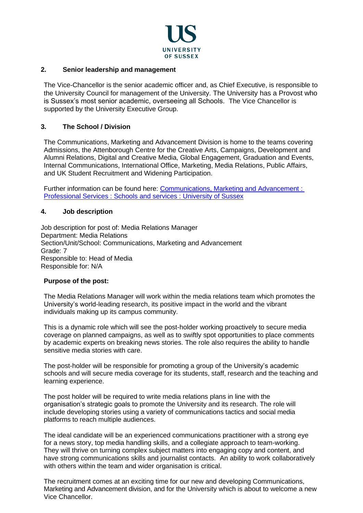

### **2. Senior leadership and management**

The Vice-Chancellor is the senior academic officer and, as Chief Executive, is responsible to the University Council for management of the University. The University has a Provost who is Sussex's most senior academic, overseeing all Schools. The Vice Chancellor is supported by the University Executive Group.

### **3. The School / Division**

The Communications, Marketing and Advancement Division is home to the teams covering Admissions, the Attenborough Centre for the Creative Arts, Campaigns, Development and Alumni Relations, Digital and Creative Media, Global Engagement, Graduation and Events, Internal Communications, International Office, Marketing, Media Relations, Public Affairs, and UK Student Recruitment and Widening Participation.

Further information can be found here: [Communications, Marketing and Advancement :](http://www.sussex.ac.uk/schoolsandservices/professionalservices/communications-marketing-advancement)  [Professional Services : Schools and services : University of Sussex](http://www.sussex.ac.uk/schoolsandservices/professionalservices/communications-marketing-advancement)

#### **4. Job description**

Job description for post of: Media Relations Manager Department: Media Relations Section/Unit/School: Communications, Marketing and Advancement Grade: 7 Responsible to: Head of Media Responsible for: N/A

#### **Purpose of the post:**

The Media Relations Manager will work within the media relations team which promotes the University's world-leading research, its positive impact in the world and the vibrant individuals making up its campus community.

This is a dynamic role which will see the post-holder working proactively to secure media coverage on planned campaigns, as well as to swiftly spot opportunities to place comments by academic experts on breaking news stories. The role also requires the ability to handle sensitive media stories with care.

The post-holder will be responsible for promoting a group of the University's academic schools and will secure media coverage for its students, staff, research and the teaching and learning experience.

The post holder will be required to write media relations plans in line with the organisation's strategic goals to promote the University and its research. The role will include developing stories using a variety of communications tactics and social media platforms to reach multiple audiences.

The ideal candidate will be an experienced communications practitioner with a strong eye for a news story, top media handling skills, and a collegiate approach to team-working. They will thrive on turning complex subject matters into engaging copy and content, and have strong communications skills and journalist contacts. An ability to work collaboratively with others within the team and wider organisation is critical.

The recruitment comes at an exciting time for our new and developing Communications, Marketing and Advancement division, and for the University which is about to welcome a new Vice Chancellor.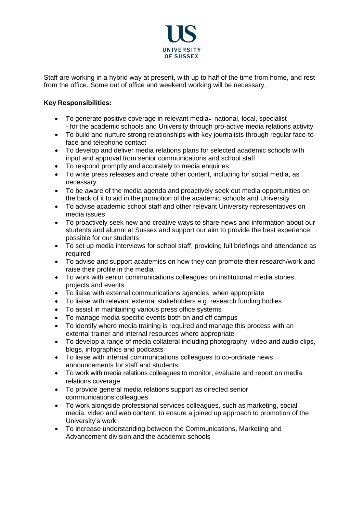

Staff are working in a hybrid way at present, with up to half of the time from home, and rest from the office. Some out of office and weekend working will be necessary.

## **Key Responsibilities:**

- To generate positive coverage in relevant media-national, local, specialist - for the academic schools and University through pro-active media relations activity
- To build and nurture strong relationships with key journalists through regular face-toface and telephone contact
- To develop and deliver media relations plans for selected academic schools with input and approval from senior communications and school staff
- To respond promptly and accurately to media enquiries
- To write press releases and create other content, including for social media, as necessary
- To be aware of the media agenda and proactively seek out media opportunities on the back of it to aid in the promotion of the academic schools and University
- To advise academic school staff and other relevant University representatives on media issues
- To proactively seek new and creative ways to share news and information about our students and alumni at Sussex and support our aim to provide the best experience possible for our students
- To set up media interviews for school staff, providing full briefings and attendance as required
- To advise and support academics on how they can promote their research/work and raise their profile in the media
- To work with senior communications colleagues on institutional media stories, projects and events
- To liaise with external communications agencies, when appropriate
- To liaise with relevant external stakeholders e.g. research funding bodies
- To assist in maintaining various press office systems
- To manage media-specific events both on and off campus
- To identify where media training is required and manage this process with an external trainer and internal resources where appropriate
- To develop a range of media collateral including photography, video and audio clips, blogs, infographics and podcasts
- To liaise with internal communications colleagues to co-ordinate news announcements for staff and students
- To work with media relations colleagues to monitor, evaluate and report on media relations coverage
- To provide general media relations support as directed senior communications colleagues
- To work alongside professional services colleagues, such as marketing, social media, video and web content, to ensure a joined up approach to promotion of the University's work
- To increase understanding between the Communications, Marketing and Advancement division and the academic schools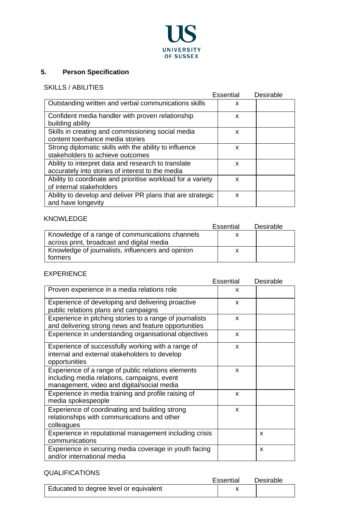

# **5. Person Specification**

# SKILLS / ABILITIES

|                                                             | Essential | Desirable |
|-------------------------------------------------------------|-----------|-----------|
| Outstanding written and verbal communications skills        | x         |           |
| Confident media handler with proven relationship            | x         |           |
| building ability                                            |           |           |
| Skills in creating and commissioning social media           | x         |           |
| content toenhance media stories                             |           |           |
| Strong diplomatic skills with the ability to influence      | x         |           |
| stakeholders to achieve outcomes                            |           |           |
| Ability to interpret data and research to translate         | X         |           |
| accurately into stories of interest to the media            |           |           |
| Ability to coordinate and prioritise workload for a variety | X         |           |
| of internal stakeholders                                    |           |           |
| Ability to develop and deliver PR plans that are strategic  | x         |           |
| and have longevity                                          |           |           |

# KNOWLEDGE

|                                                   | Essential | Desirable |
|---------------------------------------------------|-----------|-----------|
| Knowledge of a range of communications channels   |           |           |
| across print, broadcast and digital media         |           |           |
| Knowledge of journalists, influencers and opinion |           |           |
| formers                                           |           |           |

## EXPERIENCE

|                                                          | Essential    | Desirable |
|----------------------------------------------------------|--------------|-----------|
| Proven experience in a media relations role              | x            |           |
| Experience of developing and delivering proactive        | X            |           |
| public relations plans and campaigns                     |              |           |
| Experience in pitching stories to a range of journalists | $\mathsf{x}$ |           |
| and delivering strong news and feature opportunities     |              |           |
| Experience in understanding organisational objectives    | X            |           |
| Experience of successfully working with a range of       | X            |           |
| internal and external stakeholders to develop            |              |           |
| opportunities                                            |              |           |
| Experience of a range of public relations elements       | $\mathsf{x}$ |           |
| including media relations, campaigns, event              |              |           |
| management, video and digital/social media               |              |           |
| Experience in media training and profile raising of      | X            |           |
| media spokespeople                                       |              |           |
| Experience of coordinating and building strong           | X            |           |
| relationships with communications and other              |              |           |
| colleagues                                               |              |           |
| Experience in reputational management including crisis   |              | X         |
| communications                                           |              |           |
| Experience in securing media coverage in youth facing    |              | X         |
| and/or international media                               |              |           |

# QUALIFICATIONS

| 907 - 107 - 110 - 110 - 11             | Essential | Desirable |
|----------------------------------------|-----------|-----------|
| Educated to degree level or equivalent |           |           |